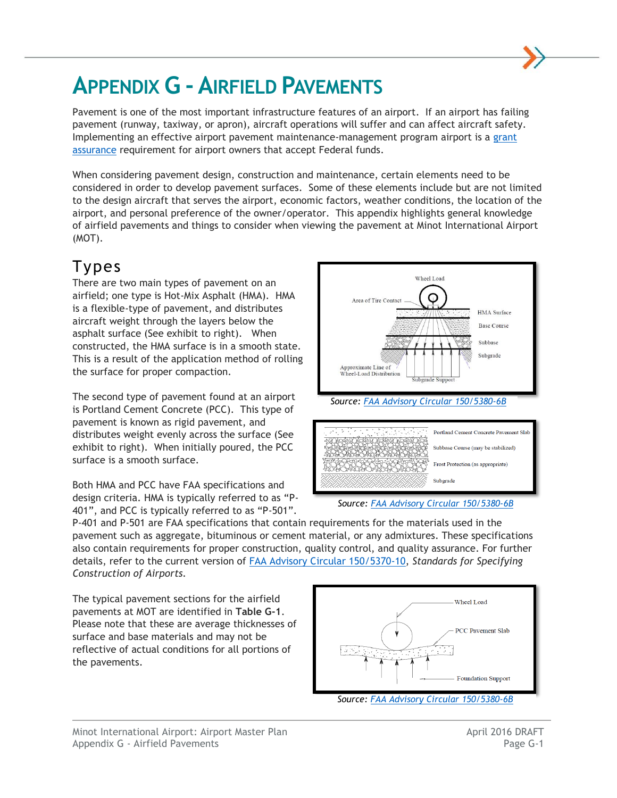# **APPENDIX G -AIRFIELD PAVEMENTS**

Pavement is one of the most important infrastructure features of an airport. If an airport has failing pavement (runway, taxiway, or apron), aircraft operations will suffer and can affect aircraft safety. Implementing an effective airport pavement maintenance-management program airport is a [grant](http://www.faa.gov/airports/aip/grant_assurances/)  [assurance](http://www.faa.gov/airports/aip/grant_assurances/) requirement for airport owners that accept Federal funds.

When considering pavement design, construction and maintenance, certain elements need to be considered in order to develop pavement surfaces. Some of these elements include but are not limited to the design aircraft that serves the airport, economic factors, weather conditions, the location of the airport, and personal preference of the owner/operator. This appendix highlights general knowledge of airfield pavements and things to consider when viewing the pavement at Minot International Airport (MOT).

## Types

There are two main types of pavement on an airfield; one type is Hot-Mix Asphalt (HMA). HMA is a flexible-type of pavement, and distributes aircraft weight through the layers below the asphalt surface (See exhibit to right). When constructed, the HMA surface is in a smooth state. This is a result of the application method of rolling the surface for proper compaction.

The second type of pavement found at an airport is Portland Cement Concrete (PCC). This type of pavement is known as rigid pavement, and distributes weight evenly across the surface (See exhibit to right). When initially poured, the PCC surface is a smooth surface.

Both HMA and PCC have FAA specifications and design criteria. HMA is typically referred to as "P-401", and PCC is typically referred to as "P-501".



*Source: [FAA Advisory Circular 150/5380-6B](http://www.faa.gov/airports/resources/advisory_circulars/index.cfm/go/document.current/documentNumber/150_5380-6)*

P-401 and P-501 are FAA specifications that contain requirements for the materials used in the pavement such as aggregate, bituminous or cement material, or any admixtures. These specifications also contain requirements for proper construction, quality control, and quality assurance. For further details, refer to the current version of [FAA Advisory Circular 150/5370-10,](http://www.faa.gov/airports/engineering/construction_standards/) *Standards for Specifying Construction of Airports.*

The typical pavement sections for the airfield pavements at MOT are identified in **Table G-1**. Please note that these are average thicknesses of surface and base materials and may not be reflective of actual conditions for all portions of the pavements.

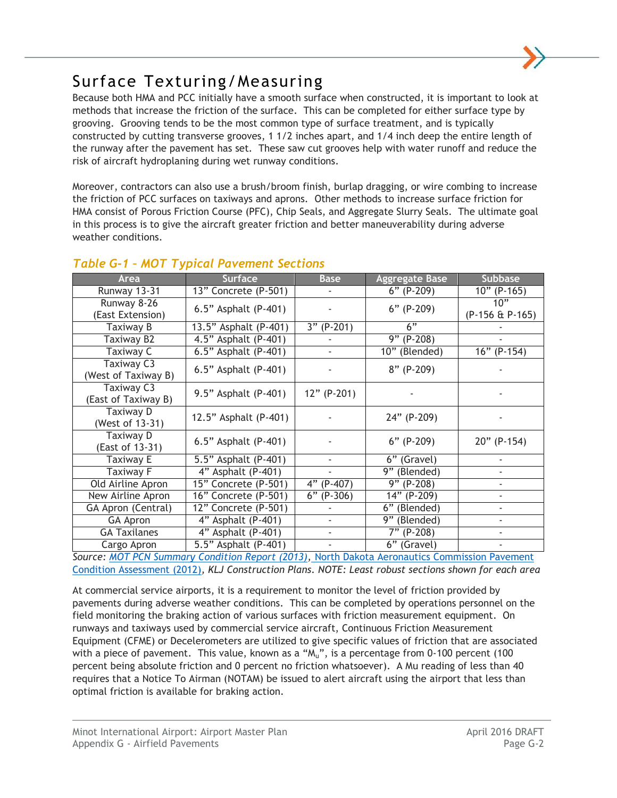## Surface Texturing/Measuring

Because both HMA and PCC initially have a smooth surface when constructed, it is important to look at methods that increase the friction of the surface. This can be completed for either surface type by grooving. Grooving tends to be the most common type of surface treatment, and is typically constructed by cutting transverse grooves, 1 1/2 inches apart, and 1/4 inch deep the entire length of the runway after the pavement has set. These saw cut grooves help with water runoff and reduce the risk of aircraft hydroplaning during wet runway conditions.

Moreover, contractors can also use a brush/broom finish, burlap dragging, or wire combing to increase the friction of PCC surfaces on taxiways and aprons. Other methods to increase surface friction for HMA consist of Porous Friction Course (PFC), Chip Seals, and Aggregate Slurry Seals. The ultimate goal in this process is to give the aircraft greater friction and better maneuverability during adverse weather conditions.

| <b>Area</b>                       | <b>Surface</b>                     | <b>Base</b>              | <b>Aggregate Base</b>    | <b>Subbase</b>            |  |  |
|-----------------------------------|------------------------------------|--------------------------|--------------------------|---------------------------|--|--|
| Runway 13-31                      | 13" Concrete (P-501)               | ۰.                       | $6"$ (P-209)             | $10"$ (P-165)             |  |  |
| Runway 8-26<br>(East Extension)   | 6.5" Asphalt (P-401)               |                          | $6"$ (P-209)             | 10"<br>(P-156 & P-165)    |  |  |
| Taxiway B                         | 13.5" Asphalt (P-401)              | $3" (P-201)$             | 6"                       |                           |  |  |
| Taxiway B2                        | 4.5" Asphalt (P-401)               |                          | $\overline{9}$ " (P-208) |                           |  |  |
| Taxiway C                         | 6.5" Asphalt (P-401)               |                          | 10" (Blended)            | $\overline{16}$ " (P-154) |  |  |
| Taxiway C3<br>(West of Taxiway B) | 6.5" Asphalt (P-401)               |                          | $8"$ (P-209)             |                           |  |  |
| Taxiway C3<br>(East of Taxiway B) | 9.5" Asphalt (P-401)               | 12" (P-201)              |                          |                           |  |  |
| Taxiway D<br>(West of 13-31)      | 12.5" Asphalt (P-401)              |                          | 24" (P-209)              |                           |  |  |
| Taxiway D<br>(East of 13-31)      | 6.5" Asphalt (P-401)               |                          | $6''$ (P-209)            | $20" (P-154)$             |  |  |
| Taxiway E                         | 5.5" Asphalt (P-401)               | $\overline{\phantom{a}}$ | 6" (Gravel)              |                           |  |  |
| Taxiway F                         | 4" Asphalt (P-401)                 | $\overline{\phantom{a}}$ | 9" (Blended)             |                           |  |  |
| Old Airline Apron                 | 15" Concrete (P-501)               | $4" (P-407)$             | $9" (P-208)$             |                           |  |  |
| New Airline Apron                 | 16" Concrete (P-501)               | $6''$ (P-306)            | 14" (P-209)              |                           |  |  |
| GA Apron (Central)                | $\overline{12}$ " Concrete (P-501) |                          | 6" (Blended)             |                           |  |  |
| GA Apron                          | 4" Asphalt (P-401)                 | $\overline{\phantom{a}}$ | 9" (Blended)             |                           |  |  |
| <b>GA Taxilanes</b>               | $4"$ Asphalt (P-401)               | $\overline{\phantom{a}}$ | $7"$ (P-208)             |                           |  |  |
| Cargo Apron                       | 5.5" Asphalt (P-401)               |                          | 6" (Gravel)              |                           |  |  |

### *Table G-1 – MOT Typical Pavement Sections*

*Source: [MOT PCN Summary Condition Report \(2013\),](http://www.nd.gov/ndaero/airport/idea/data/pcn_info/pdf_reports/minot_pcn_memo.pdf)* [North Dakota Aeronautics Commission Pavement](http://www.nd.gov/ndaero/airport/idea/index.html#path=2/38)  [Condition Assessment \(2012\)](http://www.nd.gov/ndaero/airport/idea/index.html#path=2/38)*, KLJ Construction Plans. NOTE: Least robust sections shown for each area*

At commercial service airports, it is a requirement to monitor the level of friction provided by pavements during adverse weather conditions. This can be completed by operations personnel on the field monitoring the braking action of various surfaces with friction measurement equipment. On runways and taxiways used by commercial service aircraft, Continuous Friction Measurement Equipment (CFME) or Decelerometers are utilized to give specific values of friction that are associated with a piece of pavement. This value, known as a " $M<sub>u</sub>$ ", is a percentage from 0-100 percent (100 percent being absolute friction and 0 percent no friction whatsoever). A Mu reading of less than 40 requires that a Notice To Airman (NOTAM) be issued to alert aircraft using the airport that less than optimal friction is available for braking action.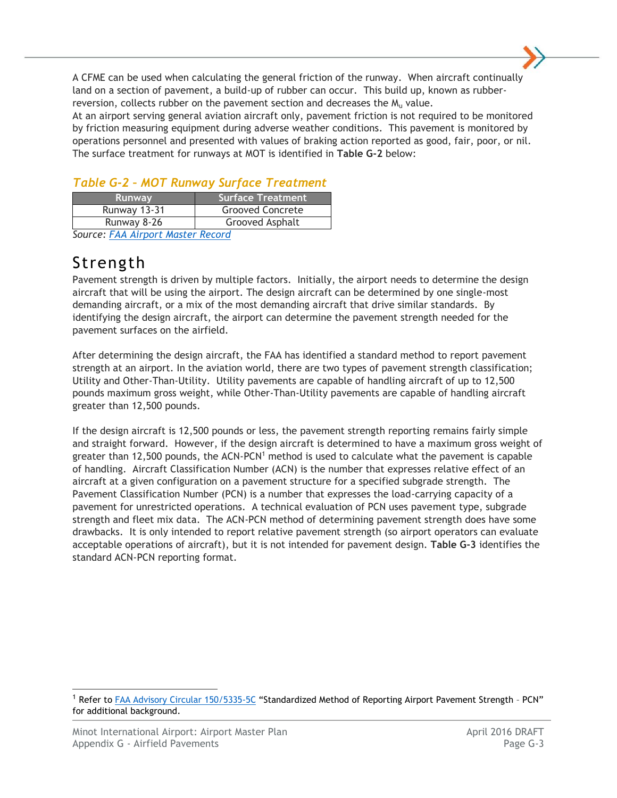A CFME can be used when calculating the general friction of the runway. When aircraft continually land on a section of pavement, a build-up of rubber can occur. This build up, known as rubberreversion, collects rubber on the pavement section and decreases the  $M_{\text{u}}$  value.

At an airport serving general aviation aircraft only, pavement friction is not required to be monitored by friction measuring equipment during adverse weather conditions. This pavement is monitored by operations personnel and presented with values of braking action reported as good, fair, poor, or nil. The surface treatment for runways at MOT is identified in **Table G-2** below:

## *Table G-2 – MOT Runway Surface Treatment* **Runway Surface Treatment**

| Runwav                            | Surface Treatment       |  |  |  |  |
|-----------------------------------|-------------------------|--|--|--|--|
| Runway 13-31                      | <b>Grooved Concrete</b> |  |  |  |  |
| Runway 8-26                       | Grooved Asphalt         |  |  |  |  |
| Source: FAA Airport Master Record |                         |  |  |  |  |

## Strength

Pavement strength is driven by multiple factors. Initially, the airport needs to determine the design aircraft that will be using the airport. The design aircraft can be determined by one single-most demanding aircraft, or a mix of the most demanding aircraft that drive similar standards. By identifying the design aircraft, the airport can determine the pavement strength needed for the pavement surfaces on the airfield.

After determining the design aircraft, the FAA has identified a standard method to report pavement strength at an airport. In the aviation world, there are two types of pavement strength classification; Utility and Other-Than-Utility. Utility pavements are capable of handling aircraft of up to 12,500 pounds maximum gross weight, while Other-Than-Utility pavements are capable of handling aircraft greater than 12,500 pounds.

If the design aircraft is 12,500 pounds or less, the pavement strength reporting remains fairly simple and straight forward. However, if the design aircraft is determined to have a maximum gross weight of greater than 12,500 pounds, the ACN-PCN<sup>1</sup> method is used to calculate what the pavement is capable of handling. Aircraft Classification Number (ACN) is the number that expresses relative effect of an aircraft at a given configuration on a pavement structure for a specified subgrade strength. The Pavement Classification Number (PCN) is a number that expresses the load-carrying capacity of a pavement for unrestricted operations. A technical evaluation of PCN uses pavement type, subgrade strength and fleet mix data. The ACN-PCN method of determining pavement strength does have some drawbacks. It is only intended to report relative pavement strength (so airport operators can evaluate acceptable operations of aircraft), but it is not intended for pavement design. **Table G-3** identifies the standard ACN-PCN reporting format.

 $\overline{a}$ 

<sup>1</sup> Refer to [FAA Advisory Circular 150/5335-5C](http://www.faa.gov/airports/resources/advisory_circulars/index.cfm/go/document.current/documentNumber/150_5335-5) "Standardized Method of Reporting Airport Pavement Strength – PCN" for additional background.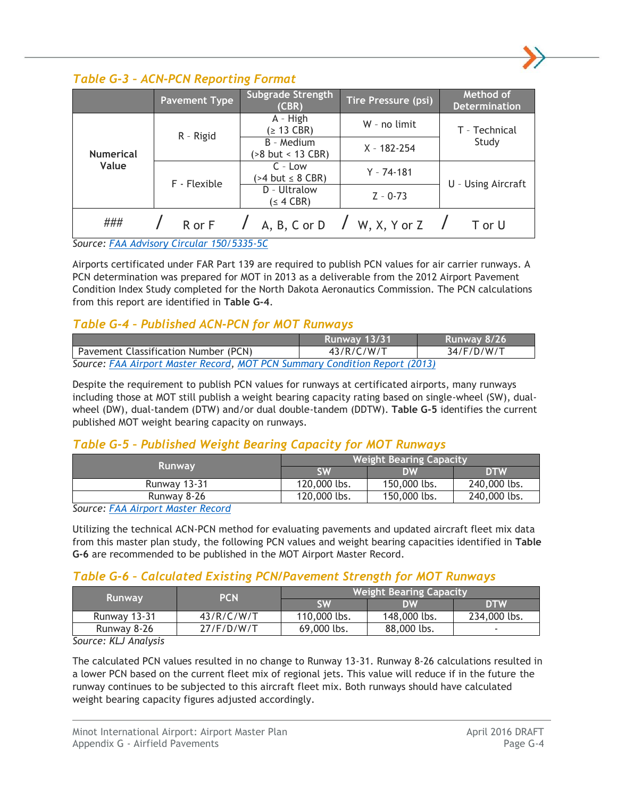#### *Table G-3 – ACN-PCN Reporting Format*

|                  | <b>Pavement Type</b> | <b>Subgrade Strength</b><br>(CBR)                             | <b>Tire Pressure (psi)</b> | Method of<br><b>Determination</b> |  |
|------------------|----------------------|---------------------------------------------------------------|----------------------------|-----------------------------------|--|
|                  | R - Rigid            | $A - High$<br>$( \geq 13$ CBR)                                | W - no limit               | T - Technical<br>Study            |  |
| <b>Numerical</b> |                      | B - Medium<br>$( > 8$ but $ < 13$ CBR)                        | $X - 182 - 254$            |                                   |  |
| Value            | F - Flexible         | $C - Low$<br>$>4$ but $\leq 8$ CBR)                           | $Y - 74 - 181$             | U - Using Aircraft                |  |
|                  |                      | D - Ultralow<br>(≤ 4 CBR)                                     | $Z - 0-73$                 |                                   |  |
| ###              | R or F               | $\sqrt{A, B, C \text{ or } D}$ $\sqrt{W, X, Y \text{ or } Z}$ |                            | T or U                            |  |

*Source: [FAA Advisory Circular 150/5335-5C](http://www.faa.gov/airports/resources/advisory_circulars/index.cfm/go/document.current/documentNumber/150_5335-5)*

Airports certificated under FAR Part 139 are required to publish PCN values for air carrier runways. A PCN determination was prepared for MOT in 2013 as a deliverable from the 2012 Airport Pavement Condition Index Study completed for the North Dakota Aeronautics Commission. The PCN calculations from this report are identified in **Table G-4**.

#### *Table G-4 – Published ACN-PCN for MOT Runways*

|                                                                            | <b>Runway 13/31</b> | Runway 8/26 |  |  |  |
|----------------------------------------------------------------------------|---------------------|-------------|--|--|--|
| Pavement Classification Number (PCN)                                       | 43/R/C/W/T          | 34/F/D/W/T  |  |  |  |
| Source: FAA Airport Master Record, MOT PCN Summary Condition Report (2013) |                     |             |  |  |  |

Despite the requirement to publish PCN values for runways at certificated airports, many runways including those at MOT still publish a weight bearing capacity rating based on single-wheel (SW), dualwheel (DW), dual-tandem (DTW) and/or dual double-tandem (DDTW). **Table G-5** identifies the current published MOT weight bearing capacity on runways.

#### *Table G-5 – Published Weight Bearing Capacity for MOT Runways*

| <b>Weight Bearing Capacity</b> |              |              |  |
|--------------------------------|--------------|--------------|--|
| <b>SW</b>                      | DW           | <b>DTW</b>   |  |
| 120,000 lbs.                   | 150,000 lbs. | 240,000 lbs. |  |
| 120,000 lbs.                   | 150,000 lbs. | 240,000 lbs. |  |
|                                |              |              |  |

*Source: [FAA Airport Master Record](http://www.gcr1.com/5010web/REPORTS/AFD10152015MOT.pdf)*

Utilizing the technical ACN-PCN method for evaluating pavements and updated aircraft fleet mix data from this master plan study, the following PCN values and weight bearing capacities identified in **Table G-6** are recommended to be published in the MOT Airport Master Record.

#### *Table G-6 – Calculated Existing PCN/Pavement Strength for MOT Runways*

| <b>Runway</b> | <b>PCN</b> | Weight Bearing Capacity |              |              |
|---------------|------------|-------------------------|--------------|--------------|
|               |            | SW                      | <b>DW</b>    | <b>DTW</b>   |
| Runway 13-31  | 43/R/C/W/T | 110,000 lbs.            | 148,000 lbs. | 234,000 lbs. |
| Runway 8-26   | 27/F/D/W/T | 69,000 lbs.             | 88,000 lbs.  |              |

*Source: KLJ Analysis*

The calculated PCN values resulted in no change to Runway 13-31. Runway 8-26 calculations resulted in a lower PCN based on the current fleet mix of regional jets. This value will reduce if in the future the runway continues to be subjected to this aircraft fleet mix. Both runways should have calculated weight bearing capacity figures adjusted accordingly.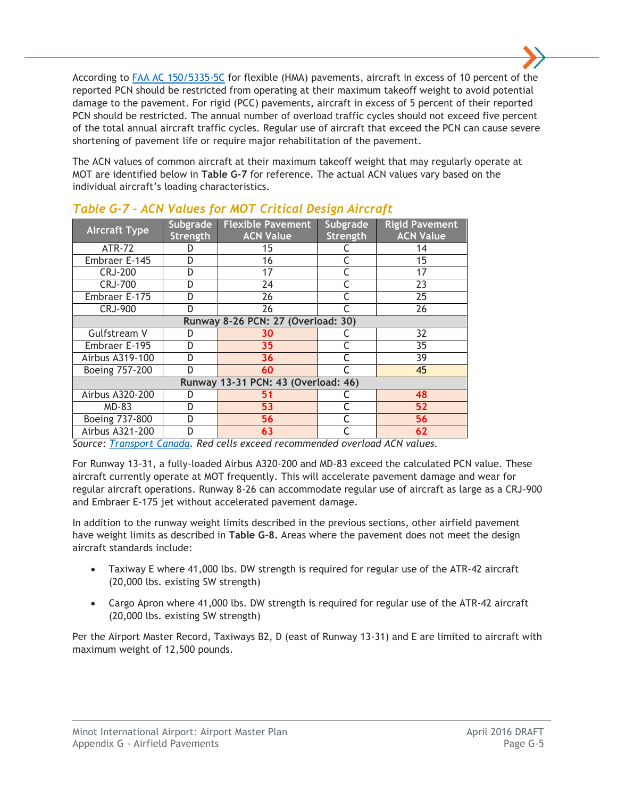According to [FAA AC 150/5335-5C](http://www.faa.gov/airports/resources/advisory_circulars/index.cfm/go/document.current/documentNumber/150_5335-5) for flexible (HMA) pavements, aircraft in excess of 10 percent of the reported PCN should be restricted from operating at their maximum takeoff weight to avoid potential damage to the pavement. For rigid (PCC) pavements, aircraft in excess of 5 percent of their reported PCN should be restricted. The annual number of overload traffic cycles should not exceed five percent of the total annual aircraft traffic cycles. Regular use of aircraft that exceed the PCN can cause severe shortening of pavement life or require major rehabilitation of the pavement.

The ACN values of common aircraft at their maximum takeoff weight that may regularly operate at MOT are identified below in **Table G-7** for reference. The actual ACN values vary based on the individual aircraft's loading characteristics.

| <b>Aircraft Type</b>                | Subgrade<br>Strength | <b>Flexible Pavement</b><br><b>ACN Value</b> | Subgrade<br>Strength | <b>Rigid Pavement</b><br><b>ACN Value</b> |  |
|-------------------------------------|----------------------|----------------------------------------------|----------------------|-------------------------------------------|--|
| <b>ATR-72</b>                       | D                    | 15                                           |                      | 14                                        |  |
| Embraer E-145                       | D                    | 16                                           |                      | 15                                        |  |
| <b>CRJ-200</b>                      | D                    | 17                                           |                      | 17                                        |  |
| <b>CRJ-700</b>                      | D                    | 24                                           |                      | 23                                        |  |
| Embraer E-175                       | D                    | 26                                           |                      | 25                                        |  |
| <b>CRJ-900</b>                      | D                    | 26                                           |                      | 26                                        |  |
|                                     |                      | Runway 8-26 PCN: 27 (Overload: 30)           |                      |                                           |  |
| Gulfstream V                        | D                    | 30                                           |                      | 32                                        |  |
| Embraer E-195                       | D                    | 35                                           |                      | 35                                        |  |
| Airbus A319-100                     | D                    | 36                                           |                      | 39                                        |  |
| <b>Boeing 757-200</b>               | D                    | 60                                           |                      | 45                                        |  |
| Runway 13-31 PCN: 43 (Overload: 46) |                      |                                              |                      |                                           |  |
| <b>Airbus A320-200</b>              | D                    | 51                                           |                      | 48                                        |  |
| $MD-83$                             | D                    | 53                                           |                      | 52                                        |  |
| Boeing 737-800                      | D                    | 56                                           |                      | 56                                        |  |
| <b>Airbus A321-200</b>              | D                    | 63                                           |                      | 62                                        |  |

### *Table G-7 – ACN Values for MOT Critical Design Aircraft*

*Source: [Transport](https://www.grad.unizg.hr/_download/repository/2_acn-tablica.pdf) Canada. Red cells exceed recommended overload ACN values.*

For Runway 13-31, a fully-loaded Airbus A320-200 and MD-83 exceed the calculated PCN value. These aircraft currently operate at MOT frequently. This will accelerate pavement damage and wear for regular aircraft operations. Runway 8-26 can accommodate regular use of aircraft as large as a CRJ-900 and Embraer E-175 jet without accelerated pavement damage.

In addition to the runway weight limits described in the previous sections, other airfield pavement have weight limits as described in **Table G-8.** Areas where the pavement does not meet the design aircraft standards include:

- Taxiway E where 41,000 lbs. DW strength is required for regular use of the ATR-42 aircraft (20,000 lbs. existing SW strength)
- Cargo Apron where 41,000 lbs. DW strength is required for regular use of the ATR-42 aircraft (20,000 lbs. existing SW strength)

Per the Airport Master Record, Taxiways B2, D (east of Runway 13-31) and E are limited to aircraft with maximum weight of 12,500 pounds.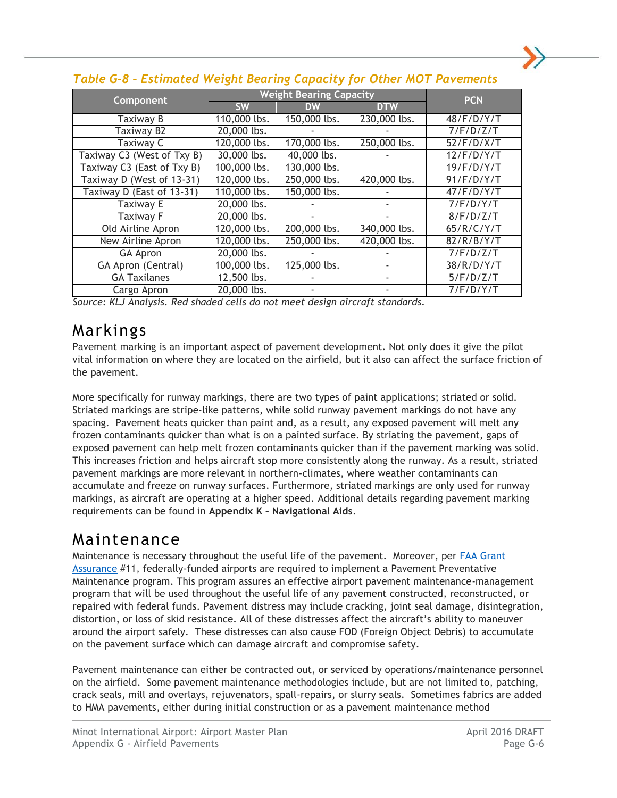|                            | <b>Weight Bearing Capacity</b> | <b>PCN</b>   |              |            |
|----------------------------|--------------------------------|--------------|--------------|------------|
| Component                  | <b>SW</b>                      | <b>DW</b>    | <b>DTW</b>   |            |
| Taxiway B                  | 110,000 lbs.                   | 150,000 lbs. | 230,000 lbs. | 48/F/D/Y/T |
| Taxiway B2                 | 20,000 lbs.                    |              |              | 7/F/D/Z/T  |
| <b>Taxiway C</b>           | 120,000 lbs.                   | 170,000 lbs. | 250,000 lbs. | 52/F/D/X/T |
| Taxiway C3 (West of Txy B) | 30,000 lbs.                    | 40,000 lbs.  |              | 12/F/D/Y/T |
| Taxiway C3 (East of Txy B) | 100,000 lbs.                   | 130,000 lbs. |              | 19/F/D/Y/T |
| Taxiway D (West of 13-31)  | 120,000 lbs.                   | 250,000 lbs. | 420,000 lbs. | 91/F/D/Y/T |
| Taxiway D (East of 13-31)  | 110,000 lbs.                   | 150,000 lbs. |              | 47/F/D/Y/T |
| Taxiway E                  | 20,000 lbs.                    |              |              | 7/F/D/Y/T  |
| <b>Taxiway F</b>           | 20,000 lbs.                    |              |              | 8/F/D/Z/T  |
| Old Airline Apron          | 120,000 lbs.                   | 200,000 lbs. | 340,000 lbs. | 65/R/C/Y/T |
| New Airline Apron          | 120,000 lbs.                   | 250,000 lbs. | 420,000 lbs. | 82/R/B/Y/T |
| GA Apron                   | 20,000 lbs.                    |              |              | 7/F/D/Z/T  |
| GA Apron (Central)         | 100,000 lbs.                   | 125,000 lbs. |              | 38/R/D/Y/T |
| <b>GA Taxilanes</b>        | 12,500 lbs.                    |              |              | 5/F/D/Z/T  |
| Cargo Apron                | 20,000 lbs.                    |              |              | 7/F/D/Y/T  |

### *Table G-8 – Estimated Weight Bearing Capacity for Other MOT Pavements*

*Source: KLJ Analysis. Red shaded cells do not meet design aircraft standards.*

## Markings

Pavement marking is an important aspect of pavement development. Not only does it give the pilot vital information on where they are located on the airfield, but it also can affect the surface friction of the pavement.

More specifically for runway markings, there are two types of paint applications; striated or solid. Striated markings are stripe-like patterns, while solid runway pavement markings do not have any spacing. Pavement heats quicker than paint and, as a result, any exposed pavement will melt any frozen contaminants quicker than what is on a painted surface. By striating the pavement, gaps of exposed pavement can help melt frozen contaminants quicker than if the pavement marking was solid. This increases friction and helps aircraft stop more consistently along the runway. As a result, striated pavement markings are more relevant in northern-climates, where weather contaminants can accumulate and freeze on runway surfaces. Furthermore, striated markings are only used for runway markings, as aircraft are operating at a higher speed. Additional details regarding pavement marking requirements can be found in **Appendix K – Navigational Aids**.

## Maintenance

Maintenance is necessary throughout the useful life of the pavement. Moreover, per [FAA Grant](http://www.faa.gov/airports/aip/grant_assurances/)  [Assurance](http://www.faa.gov/airports/aip/grant_assurances/) #11, federally-funded airports are required to implement a Pavement Preventative Maintenance program. This program assures an effective airport pavement maintenance-management program that will be used throughout the useful life of any pavement constructed, reconstructed, or repaired with federal funds. Pavement distress may include cracking, joint seal damage, disintegration, distortion, or loss of skid resistance. All of these distresses affect the aircraft's ability to maneuver around the airport safely. These distresses can also cause FOD (Foreign Object Debris) to accumulate on the pavement surface which can damage aircraft and compromise safety.

Pavement maintenance can either be contracted out, or serviced by operations/maintenance personnel on the airfield. Some pavement maintenance methodologies include, but are not limited to, patching, crack seals, mill and overlays, rejuvenators, spall-repairs, or slurry seals. Sometimes fabrics are added to HMA pavements, either during initial construction or as a pavement maintenance method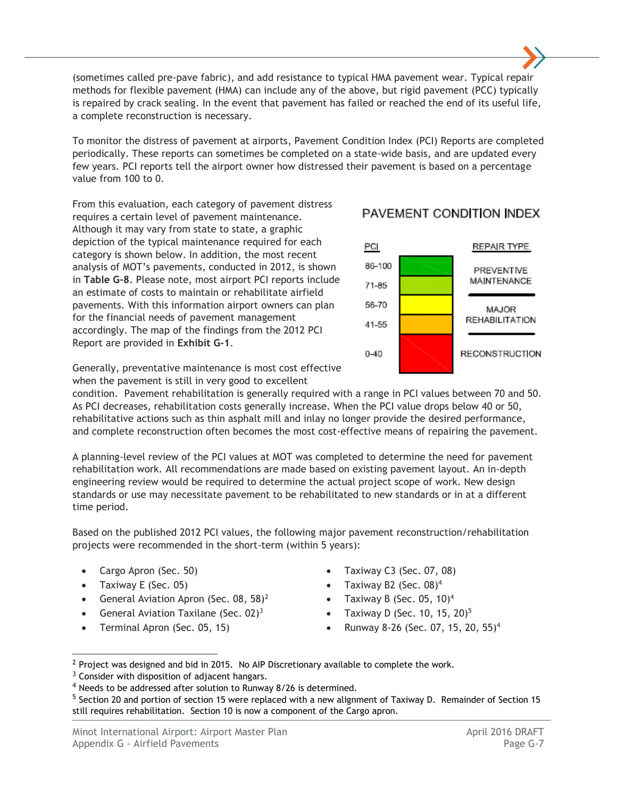(sometimes called pre-pave fabric), and add resistance to typical HMA pavement wear. Typical repair methods for flexible pavement (HMA) can include any of the above, but rigid pavement (PCC) typically is repaired by crack sealing. In the event that pavement has failed or reached the end of its useful life, a complete reconstruction is necessary.

To monitor the distress of pavement at airports, Pavement Condition Index (PCI) Reports are completed periodically. These reports can sometimes be completed on a state-wide basis, and are updated every few years. PCI reports tell the airport owner how distressed their pavement is based on a percentage value from 100 to 0.

From this evaluation, each category of pavement distress requires a certain level of pavement maintenance. Although it may vary from state to state, a graphic depiction of the typical maintenance required for each category is shown below. In addition, the most recent analysis of MOT's pavements, conducted in 2012, is shown in **Table G-8**. Please note, most airport PCI reports include an estimate of costs to maintain or rehabilitate airfield pavements. With this information airport owners can plan for the financial needs of pavement management accordingly. The map of the findings from the 2012 PCI Report are provided in **Exhibit G-1**.

Generally, preventative maintenance is most cost effective



#### PAVEMENT CONDITION INDEX

when the pavement is still in very good to excellent condition. Pavement rehabilitation is generally required with a range in PCI values between 70 and 50. As PCI decreases, rehabilitation costs generally increase. When the PCI value drops below 40 or 50, rehabilitative actions such as thin asphalt mill and inlay no longer provide the desired performance,

and complete reconstruction often becomes the most cost-effective means of repairing the pavement.

A planning-level review of the PCI values at MOT was completed to determine the need for pavement rehabilitation work. All recommendations are made based on existing pavement layout. An in-depth engineering review would be required to determine the actual project scope of work. New design standards or use may necessitate pavement to be rehabilitated to new standards or in at a different time period.

Based on the published 2012 PCI values, the following major pavement reconstruction/rehabilitation projects were recommended in the short-term (within 5 years):

- Cargo Apron (Sec. 50)
- Taxiway E (Sec. 05)

 $\overline{a}$ 

- General Aviation Apron (Sec. 08,  $58$ )<sup>2</sup>
- General Aviation Taxilane (Sec.  $02)^3$
- Terminal Apron (Sec. 05, 15)
- Taxiway C3 (Sec. 07, 08)
- Taxiway B2 (Sec. 08)<sup>4</sup>
- Taxiway B (Sec. 05,  $10<sup>4</sup>$
- Taxiway D (Sec. 10, 15, 20)<sup>5</sup>
- Runway 8-26 (Sec. 07, 15, 20, 55)<sup>4</sup>

<sup>&</sup>lt;sup>2</sup> Project was designed and bid in 2015. No AIP Discretionary available to complete the work.

 $3$  Consider with disposition of adjacent hangars.

<sup>&</sup>lt;sup>4</sup> Needs to be addressed after solution to Runway 8/26 is determined.

<sup>&</sup>lt;sup>5</sup> Section 20 and portion of section 15 were replaced with a new alignment of Taxiway D. Remainder of Section 15 still requires rehabilitation. Section 10 is now a component of the Cargo apron.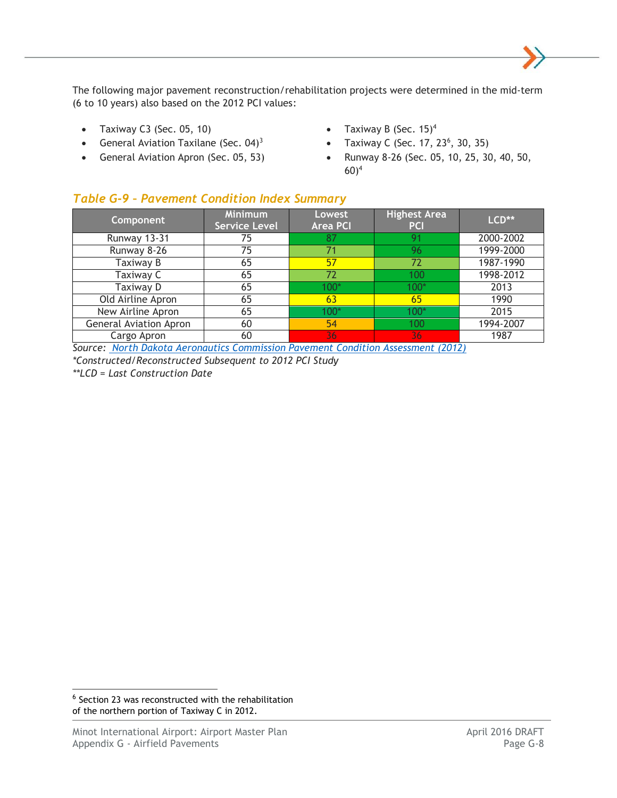The following major pavement reconstruction/rehabilitation projects were determined in the mid-term (6 to 10 years) also based on the 2012 PCI values:

- $\bullet$  Taxiway C3 (Sec. 05, 10)
- General Aviation Taxilane (Sec.  $04$ )<sup>3</sup>
- General Aviation Apron (Sec. 05, 53)
- Taxiway B (Sec.  $15)^4$
- Taxiway C (Sec.  $17, 23^6, 30, 35$ )
- Runway 8-26 (Sec. 05, 10, 25, 30, 40, 50, 60) 4

#### *Table G-9 – Pavement Condition Index Summary*

| Component                     | <b>Minimum</b><br><b>Service Level</b> | Lowest<br><b>Area PCI</b> | <b>Highest Area</b><br><b>PCI</b> | $LCD**$   |
|-------------------------------|----------------------------------------|---------------------------|-----------------------------------|-----------|
| Runway 13-31                  | 75                                     |                           | 91                                | 2000-2002 |
| Runway 8-26                   | 75                                     |                           | 96                                | 1999-2000 |
| Taxiway B                     | 65                                     | 57                        | 72                                | 1987-1990 |
| Taxiway C                     | 65                                     | 72                        | 100                               | 1998-2012 |
| Taxiway D                     | 65                                     | 100*                      | $100*$                            | 2013      |
| Old Airline Apron             | 65                                     | 63                        | 65                                | 1990      |
| New Airline Apron             | 65                                     | $100*$                    | $100*$                            | 2015      |
| <b>General Aviation Apron</b> | 60                                     | 54                        | 100                               | 1994-2007 |
| Cargo Apron                   | 60                                     | 36                        | 36                                | 1987      |

*Source: [North Dakota Aeronautics Commission Pavement Condition Assessment \(2012\)](http://www.nd.gov/ndaero/airport/idea/index.html#path=2/38) \*Constructed/Reconstructed Subsequent to 2012 PCI Study* 

*\*\*LCD = Last Construction Date*

 $\overline{a}$ 

<sup>&</sup>lt;sup>6</sup> Section 23 was reconstructed with the rehabilitation of the northern portion of Taxiway C in 2012.